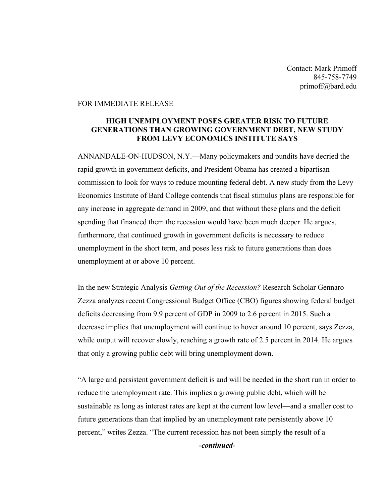Contact: Mark Primoff 845-758-7749 primoff@bard.edu

## FOR IMMEDIATE RELEASE

## **HIGH UNEMPLOYMENT POSES GREATER RISK TO FUTURE GENERATIONS THAN GROWING GOVERNMENT DEBT, NEW STUDY FROM LEVY ECONOMICS INSTITUTE SAYS**

ANNANDALE-ON-HUDSON, N.Y.—Many policymakers and pundits have decried the rapid growth in government deficits, and President Obama has created a bipartisan commission to look for ways to reduce mounting federal debt. A new study from the Levy Economics Institute of Bard College contends that fiscal stimulus plans are responsible for any increase in aggregate demand in 2009, and that without these plans and the deficit spending that financed them the recession would have been much deeper. He argues, furthermore, that continued growth in government deficits is necessary to reduce unemployment in the short term, and poses less risk to future generations than does unemployment at or above 10 percent.

In the new Strategic Analysis *Getting Out of the Recession?* Research Scholar Gennaro Zezza analyzes recent Congressional Budget Office (CBO) figures showing federal budget deficits decreasing from 9.9 percent of GDP in 2009 to 2.6 percent in 2015. Such a decrease implies that unemployment will continue to hover around 10 percent, says Zezza, while output will recover slowly, reaching a growth rate of 2.5 percent in 2014. He argues that only a growing public debt will bring unemployment down.

"A large and persistent government deficit is and will be needed in the short run in order to reduce the unemployment rate. This implies a growing public debt, which will be sustainable as long as interest rates are kept at the current low level—and a smaller cost to future generations than that implied by an unemployment rate persistently above 10 percent," writes Zezza. "The current recession has not been simply the result of a *-continued-*